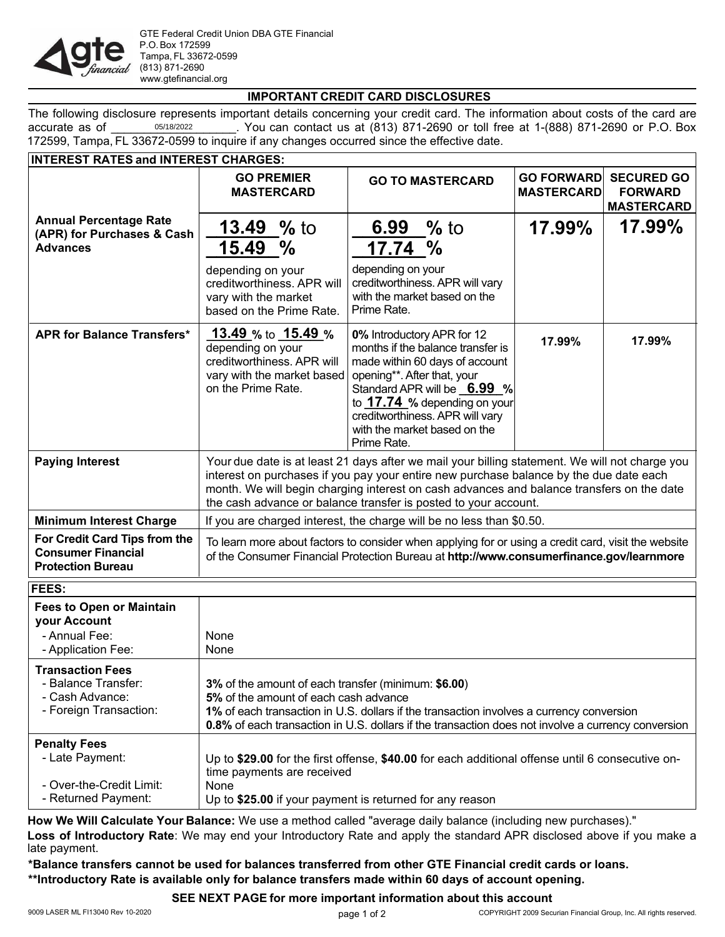

## **IMPORTANT CREDIT CARD DISCLOSURES**

The following disclosure represents important details concerning your credit card. The information about costs of the card are accurate as of  $^{0.5/18/2022}$  . You can contact us at (813) 871-2690 or toll free at 1-(888) 871-2690 or P.O. Box 172599, Tampa, FL 33672-0599 to inquire if any changes occurred since the effective date. 05/18/2022

| <b>Annual Percentage Rate</b>                                                                    | <b>GO PREMIER</b><br><b>MASTERCARD</b><br><b>13.49</b> % to                                                                                                                                                                                                                                                                                              | <b>GO TO MASTERCARD</b>                                                                                                                                                                                                                                                           | <b>GO FORWARD</b><br><b>MASTERCARD</b> | <b>SECURED GO</b>                   |
|--------------------------------------------------------------------------------------------------|----------------------------------------------------------------------------------------------------------------------------------------------------------------------------------------------------------------------------------------------------------------------------------------------------------------------------------------------------------|-----------------------------------------------------------------------------------------------------------------------------------------------------------------------------------------------------------------------------------------------------------------------------------|----------------------------------------|-------------------------------------|
|                                                                                                  |                                                                                                                                                                                                                                                                                                                                                          |                                                                                                                                                                                                                                                                                   |                                        | <b>FORWARD</b><br><b>MASTERCARD</b> |
| (APR) for Purchases & Cash                                                                       |                                                                                                                                                                                                                                                                                                                                                          | 6.99 $%$ to                                                                                                                                                                                                                                                                       | 17.99%                                 | 17.99%                              |
| <b>Advances</b>                                                                                  | 15.49 %                                                                                                                                                                                                                                                                                                                                                  | <u>17.74</u> %                                                                                                                                                                                                                                                                    |                                        |                                     |
|                                                                                                  | depending on your<br>creditworthiness. APR will<br>vary with the market<br>based on the Prime Rate.                                                                                                                                                                                                                                                      | depending on your<br>creditworthiness. APR will vary<br>with the market based on the<br>Prime Rate.                                                                                                                                                                               |                                        |                                     |
| <b>APR for Balance Transfers*</b>                                                                | <u>13.49 % to _15.49 % </u><br>depending on your<br>creditworthiness. APR will<br>vary with the market based<br>on the Prime Rate.                                                                                                                                                                                                                       | 0% Introductory APR for 12<br>months if the balance transfer is<br>made within 60 days of account<br>opening**. After that, your<br>Standard APR will be 6.99 %<br>to 17.74 % depending on your<br>creditworthiness. APR will vary<br>with the market based on the<br>Prime Rate. | 17.99%                                 | 17.99%                              |
| <b>Paying Interest</b>                                                                           | Your due date is at least 21 days after we mail your billing statement. We will not charge you<br>interest on purchases if you pay your entire new purchase balance by the due date each<br>month. We will begin charging interest on cash advances and balance transfers on the date<br>the cash advance or balance transfer is posted to your account. |                                                                                                                                                                                                                                                                                   |                                        |                                     |
| <b>Minimum Interest Charge</b>                                                                   | If you are charged interest, the charge will be no less than \$0.50.                                                                                                                                                                                                                                                                                     |                                                                                                                                                                                                                                                                                   |                                        |                                     |
| For Credit Card Tips from the<br><b>Consumer Financial</b><br><b>Protection Bureau</b>           | To learn more about factors to consider when applying for or using a credit card, visit the website<br>of the Consumer Financial Protection Bureau at http://www.consumerfinance.gov/learnmore                                                                                                                                                           |                                                                                                                                                                                                                                                                                   |                                        |                                     |
| FEES:                                                                                            |                                                                                                                                                                                                                                                                                                                                                          |                                                                                                                                                                                                                                                                                   |                                        |                                     |
| <b>Fees to Open or Maintain</b><br>your Account<br>- Annual Fee:                                 | None                                                                                                                                                                                                                                                                                                                                                     |                                                                                                                                                                                                                                                                                   |                                        |                                     |
| - Application Fee:                                                                               | None                                                                                                                                                                                                                                                                                                                                                     |                                                                                                                                                                                                                                                                                   |                                        |                                     |
| <b>Transaction Fees</b><br><b>Balance Transfer:</b><br>- Cash Advance:<br>- Foreign Transaction: | 3% of the amount of each transfer (minimum: \$6.00)<br>5% of the amount of each cash advance<br>1% of each transaction in U.S. dollars if the transaction involves a currency conversion<br>0.8% of each transaction in U.S. dollars if the transaction does not involve a currency conversion                                                           |                                                                                                                                                                                                                                                                                   |                                        |                                     |
| <b>Penalty Fees</b><br>- Late Payment:<br>- Over-the-Credit Limit:<br>- Returned Payment:        | Up to \$29.00 for the first offense, \$40.00 for each additional offense until 6 consecutive on-<br>time payments are received<br>None<br>Up to \$25.00 if your payment is returned for any reason                                                                                                                                                       |                                                                                                                                                                                                                                                                                   |                                        |                                     |

**How We Will Calculate Your Balance:** We use a method called "average daily balance (including new purchases)." **Loss of Introductory Rate**: We may end your Introductory Rate and apply the standard APR disclosed above if you make a late payment.

**\*Balance transfers cannot be used for balances transferred from other GTE Financial credit cards or loans. \*\*Introductory Rate is available only for balance transfers made within 60 days of account opening.**

**SEE NEXT PAGE for more important information about this account**